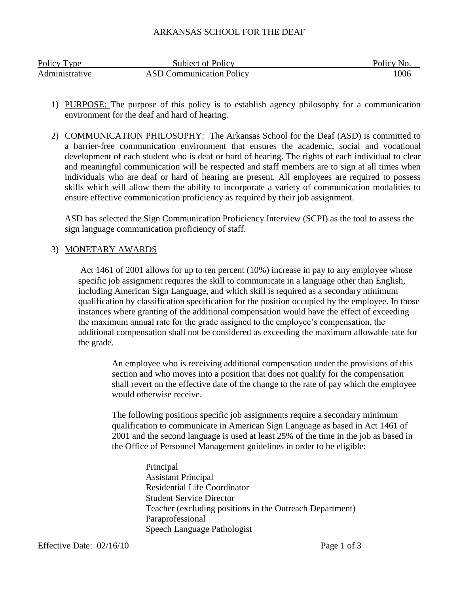#### ARKANSAS SCHOOL FOR THE DEAF

| Policy Type    | <b>Subject of Policy</b>        | Policy No. |
|----------------|---------------------------------|------------|
| Administrative | <b>ASD Communication Policy</b> | 1006       |

- 1) PURPOSE: The purpose of this policy is to establish agency philosophy for a communication environment for the deaf and hard of hearing.
- 2) COMMUNICATION PHILOSOPHY: The Arkansas School for the Deaf (ASD) is committed to a barrier-free communication environment that ensures the academic, social and vocational development of each student who is deaf or hard of hearing. The rights of each individual to clear and meaningful communication will be respected and staff members are to sign at all times when individuals who are deaf or hard of hearing are present. All employees are required to possess skills which will allow them the ability to incorporate a variety of communication modalities to ensure effective communication proficiency as required by their job assignment.

ASD has selected the Sign Communication Proficiency Interview (SCPI) as the tool to assess the sign language communication proficiency of staff.

# 3) MONETARY AWARDS

Act 1461 of 2001 allows for up to ten percent (10%) increase in pay to any employee whose specific job assignment requires the skill to communicate in a language other than English, including American Sign Language, and which skill is required as a secondary minimum qualification by classification specification for the position occupied by the employee. In those instances where granting of the additional compensation would have the effect of exceeding the maximum annual rate for the grade assigned to the employee's compensation, the additional compensation shall not be considered as exceeding the maximum allowable rate for the grade.

An employee who is receiving additional compensation under the provisions of this section and who moves into a position that does not qualify for the compensation shall revert on the effective date of the change to the rate of pay which the employee would otherwise receive.

The following positions specific job assignments require a secondary minimum qualification to communicate in American Sign Language as based in Act 1461 of 2001 and the second language is used at least 25% of the time in the job as based in the Office of Personnel Management guidelines in order to be eligible:

> Principal Assistant Principal Residential Life Coordinator Student Service Director Teacher (excluding positions in the Outreach Department) Paraprofessional Speech Language Pathologist

Effective Date:  $02/16/10$  Page 1 of 3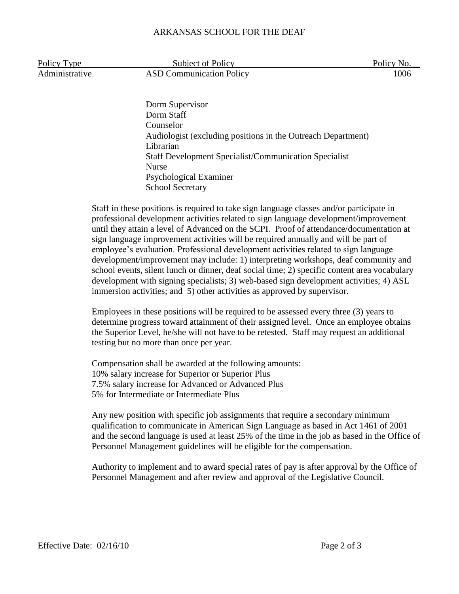#### ARKANSAS SCHOOL FOR THE DEAF

| Policy Type    | <b>Subject of Policy</b>        | Policy No. |
|----------------|---------------------------------|------------|
| Administrative | <b>ASD Communication Policy</b> | 1006       |

Dorm Supervisor Dorm Staff Counselor Audiologist (excluding positions in the Outreach Department) Librarian Staff Development Specialist/Communication Specialist Nurse Psychological Examiner School Secretary

Staff in these positions is required to take sign language classes and/or participate in professional development activities related to sign language development/improvement until they attain a level of Advanced on the SCPI. Proof of attendance/documentation at sign language improvement activities will be required annually and will be part of employee's evaluation. Professional development activities related to sign language development/improvement may include: 1) interpreting workshops, deaf community and school events, silent lunch or dinner, deaf social time; 2) specific content area vocabulary development with signing specialists; 3) web-based sign development activities; 4) ASL immersion activities; and 5) other activities as approved by supervisor.

Employees in these positions will be required to be assessed every three (3) years to determine progress toward attainment of their assigned level. Once an employee obtains the Superior Level, he/she will not have to be retested. Staff may request an additional testing but no more than once per year.

Compensation shall be awarded at the following amounts: 10% salary increase for Superior or Superior Plus 7.5% salary increase for Advanced or Advanced Plus 5% for Intermediate or Intermediate Plus

Any new position with specific job assignments that require a secondary minimum qualification to communicate in American Sign Language as based in Act 1461 of 2001 and the second language is used at least 25% of the time in the job as based in the Office of Personnel Management guidelines will be eligible for the compensation.

Authority to implement and to award special rates of pay is after approval by the Office of Personnel Management and after review and approval of the Legislative Council.